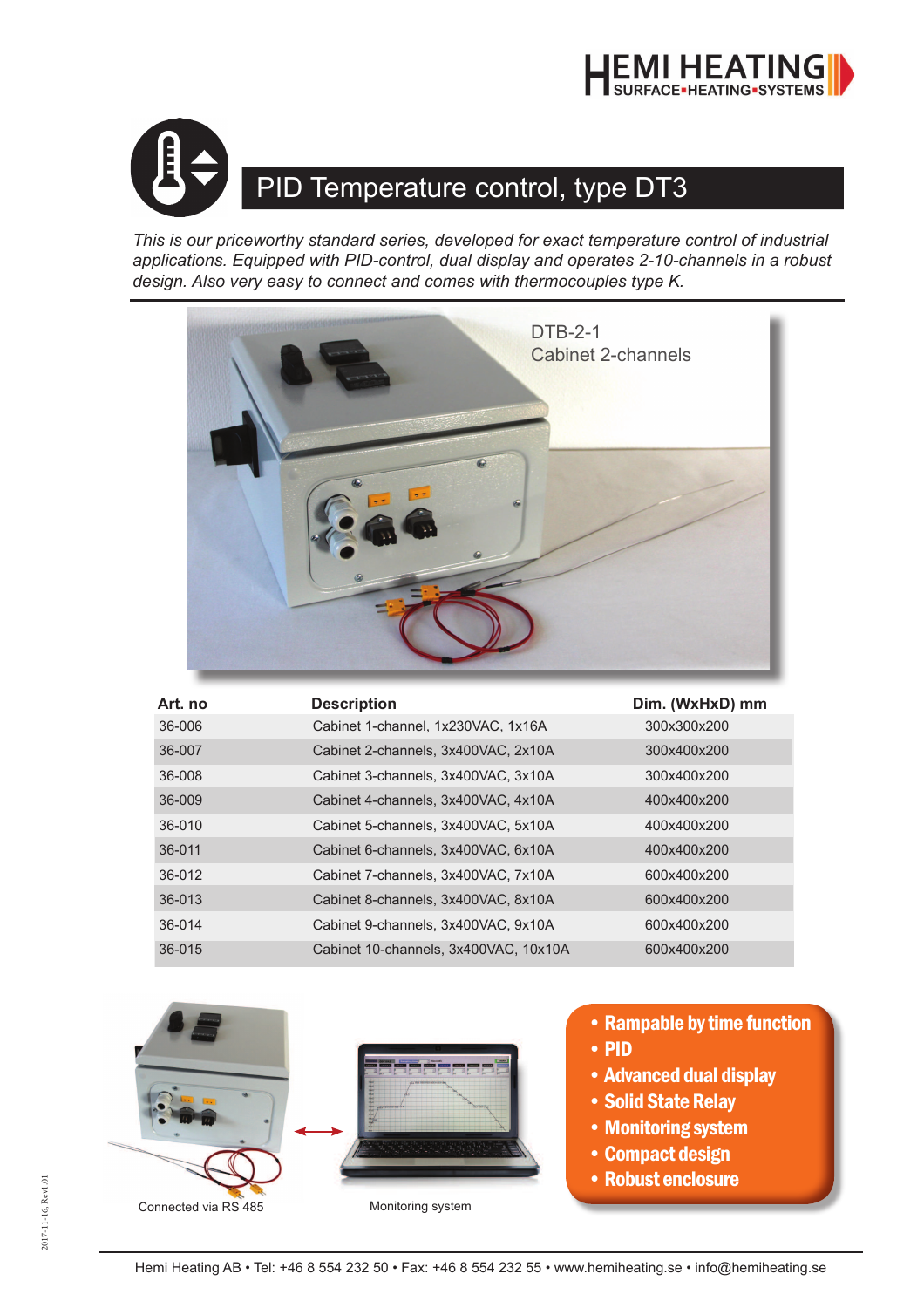



## PID Temperature control, type DT3

*This is our priceworthy standard series, developed for exact temperature control of industrial applications. Equipped with PID-control, dual display and operates 2-10-channels in a robust design. Also very easy to connect and comes with thermocouples type K.*



| Art. no | <b>Description</b>                    | Dim. (WxHxD) mm |
|---------|---------------------------------------|-----------------|
| 36-006  | Cabinet 1-channel, 1x230VAC, 1x16A    | 300x300x200     |
| 36-007  | Cabinet 2-channels, 3x400VAC, 2x10A   | 300x400x200     |
| 36-008  | Cabinet 3-channels, 3x400VAC, 3x10A   | 300x400x200     |
| 36-009  | Cabinet 4-channels, 3x400VAC, 4x10A   | 400x400x200     |
| 36-010  | Cabinet 5-channels, 3x400VAC, 5x10A   | 400x400x200     |
| 36-011  | Cabinet 6-channels, 3x400VAC, 6x10A   | 400x400x200     |
| 36-012  | Cabinet 7-channels, 3x400VAC, 7x10A   | 600x400x200     |
| 36-013  | Cabinet 8-channels, 3x400VAC, 8x10A   | 600x400x200     |
| 36-014  | Cabinet 9-channels, 3x400VAC, 9x10A   | 600x400x200     |
| 36-015  | Cabinet 10-channels, 3x400VAC, 10x10A | 600x400x200     |